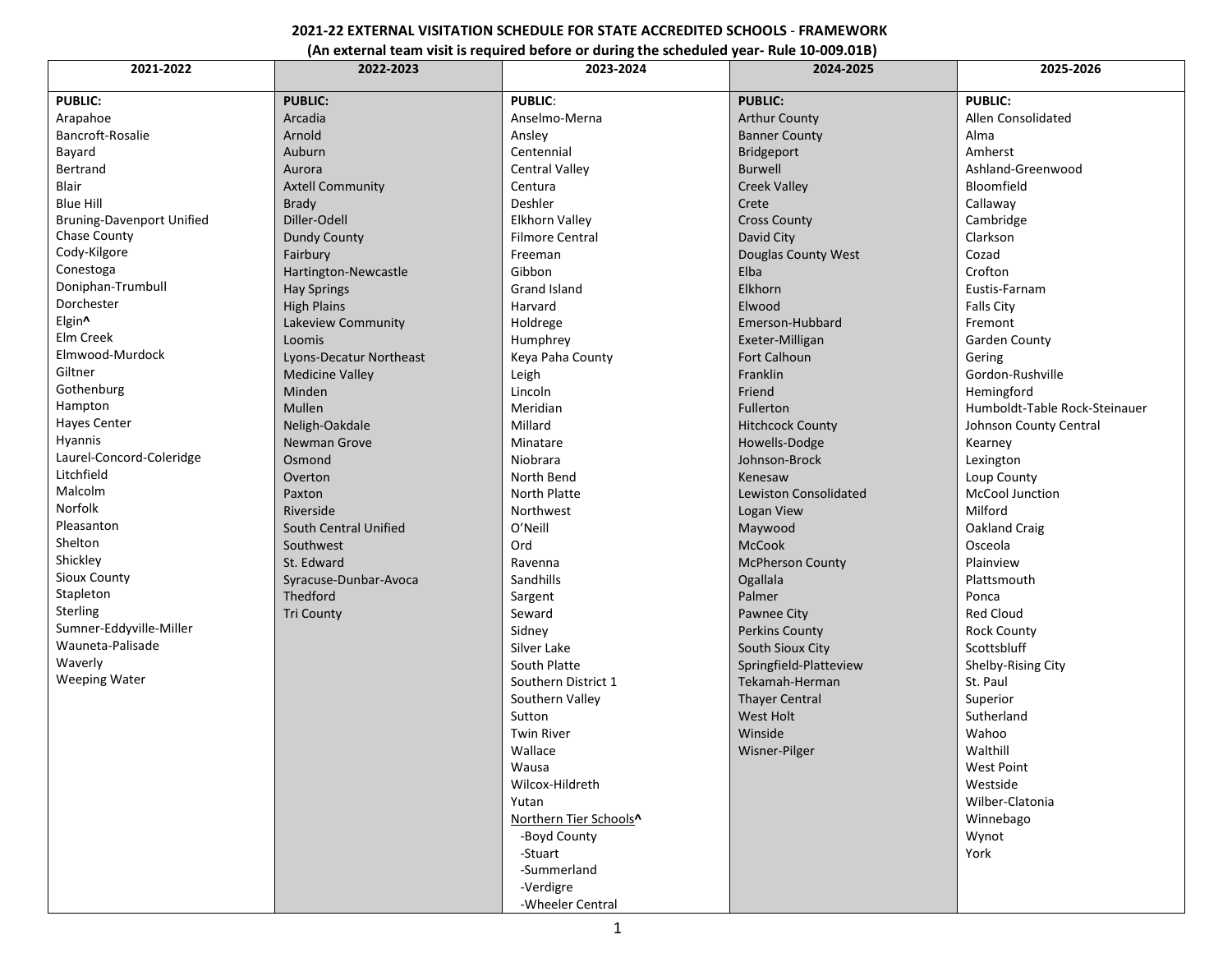## **2021-22 EXTERNAL VISITATION SCHEDULE FOR STATE ACCREDITED SCHOOLS** - **FRAMEWORK**

## **(An external team visit is required before or during the scheduled year- Rule 10-009.01B)**

| 2021-2022                        | 2022-2023               | 2023-2024              | 2024-2025                    | 2025-2026                     |  |
|----------------------------------|-------------------------|------------------------|------------------------------|-------------------------------|--|
| <b>PUBLIC:</b>                   | <b>PUBLIC:</b>          | <b>PUBLIC:</b>         | <b>PUBLIC:</b>               | <b>PUBLIC:</b>                |  |
| Arapahoe                         | Arcadia                 | Anselmo-Merna          | <b>Arthur County</b>         | Allen Consolidated            |  |
| Bancroft-Rosalie                 | Arnold                  | Ansley                 | <b>Banner County</b>         | Alma                          |  |
| Bayard                           | Auburn                  | Centennial             | Bridgeport                   | Amherst                       |  |
| Bertrand                         | Aurora                  | <b>Central Valley</b>  | <b>Burwell</b>               | Ashland-Greenwood             |  |
| <b>Blair</b>                     | <b>Axtell Community</b> | Centura                | <b>Creek Valley</b>          | Bloomfield                    |  |
| <b>Blue Hill</b>                 | <b>Brady</b>            | Deshler                | Crete                        | Callaway                      |  |
| <b>Bruning-Davenport Unified</b> | Diller-Odell            | <b>Elkhorn Vallev</b>  | <b>Cross County</b>          | Cambridge                     |  |
| Chase County                     | <b>Dundy County</b>     | <b>Filmore Central</b> | David City                   | Clarkson                      |  |
| Cody-Kilgore                     | Fairbury                | Freeman                | Douglas County West          | Cozad                         |  |
| Conestoga                        | Hartington-Newcastle    | Gibbon                 | Elba                         | Crofton                       |  |
| Doniphan-Trumbull                | <b>Hay Springs</b>      | <b>Grand Island</b>    | Elkhorn                      | Eustis-Farnam                 |  |
| Dorchester                       | <b>High Plains</b>      | Harvard                | Elwood                       | <b>Falls City</b>             |  |
| Elgin^                           | Lakeview Community      | Holdrege               | Emerson-Hubbard              | Fremont                       |  |
| Elm Creek                        | Loomis                  | Humphrey               | Exeter-Milligan              | <b>Garden County</b>          |  |
| Elmwood-Murdock                  | Lyons-Decatur Northeast | Keya Paha County       | Fort Calhoun                 | Gering                        |  |
| Giltner                          | <b>Medicine Valley</b>  | Leigh                  | Franklin                     | Gordon-Rushville              |  |
| Gothenburg                       | Minden                  | Lincoln                | Friend                       | Hemingford                    |  |
| Hampton                          | Mullen                  | Meridian               | <b>Fullerton</b>             | Humboldt-Table Rock-Steinauer |  |
| Hayes Center                     | Neligh-Oakdale          | Millard                | <b>Hitchcock County</b>      | Johnson County Central        |  |
| Hyannis                          | Newman Grove            | Minatare               | Howells-Dodge                | Kearney                       |  |
| Laurel-Concord-Coleridge         | Osmond                  | Niobrara               | Johnson-Brock                | Lexington                     |  |
| Litchfield                       | Overton                 | North Bend             | Kenesaw                      | Loup County                   |  |
| Malcolm                          | Paxton                  | North Platte           | <b>Lewiston Consolidated</b> | McCool Junction               |  |
| Norfolk                          | Riverside               | Northwest              | Logan View                   | Milford                       |  |
| Pleasanton                       | South Central Unified   | O'Neill                | Maywood                      | Oakland Craig                 |  |
| Shelton                          | Southwest               | Ord                    | <b>McCook</b>                | Osceola                       |  |
| Shickley                         | St. Edward              | Ravenna                | <b>McPherson County</b>      | Plainview                     |  |
| Sioux County                     | Syracuse-Dunbar-Avoca   | Sandhills              | Ogallala                     | Plattsmouth                   |  |
| Stapleton                        | Thedford                | Sargent                | Palmer                       | Ponca                         |  |
| Sterling                         | <b>Tri County</b>       | Seward                 | Pawnee City                  | <b>Red Cloud</b>              |  |
| Sumner-Eddyville-Miller          |                         | Sidney                 | <b>Perkins County</b>        | <b>Rock County</b>            |  |
| Wauneta-Palisade                 |                         | Silver Lake            | <b>South Sioux City</b>      | Scottsbluff                   |  |
| Waverly                          |                         | South Platte           | Springfield-Platteview       | Shelby-Rising City            |  |
| <b>Weeping Water</b>             |                         | Southern District 1    | Tekamah-Herman               | St. Paul                      |  |
|                                  |                         | Southern Valley        | <b>Thayer Central</b>        | Superior                      |  |
|                                  |                         | Sutton                 | <b>West Holt</b>             | Sutherland                    |  |
|                                  |                         | <b>Twin River</b>      | Winside                      | Wahoo                         |  |
|                                  |                         | Wallace                | <b>Wisner-Pilger</b>         | Walthill                      |  |
|                                  |                         | Wausa                  |                              | West Point                    |  |
|                                  |                         | Wilcox-Hildreth        |                              | Westside                      |  |
|                                  |                         | Yutan                  |                              | Wilber-Clatonia               |  |
|                                  |                         | Northern Tier Schools^ |                              | Winnebago                     |  |
|                                  |                         | -Boyd County           |                              | Wynot                         |  |
|                                  |                         | -Stuart                |                              | York                          |  |
|                                  |                         | -Summerland            |                              |                               |  |
|                                  |                         | -Verdigre              |                              |                               |  |
|                                  |                         | -Wheeler Central       |                              |                               |  |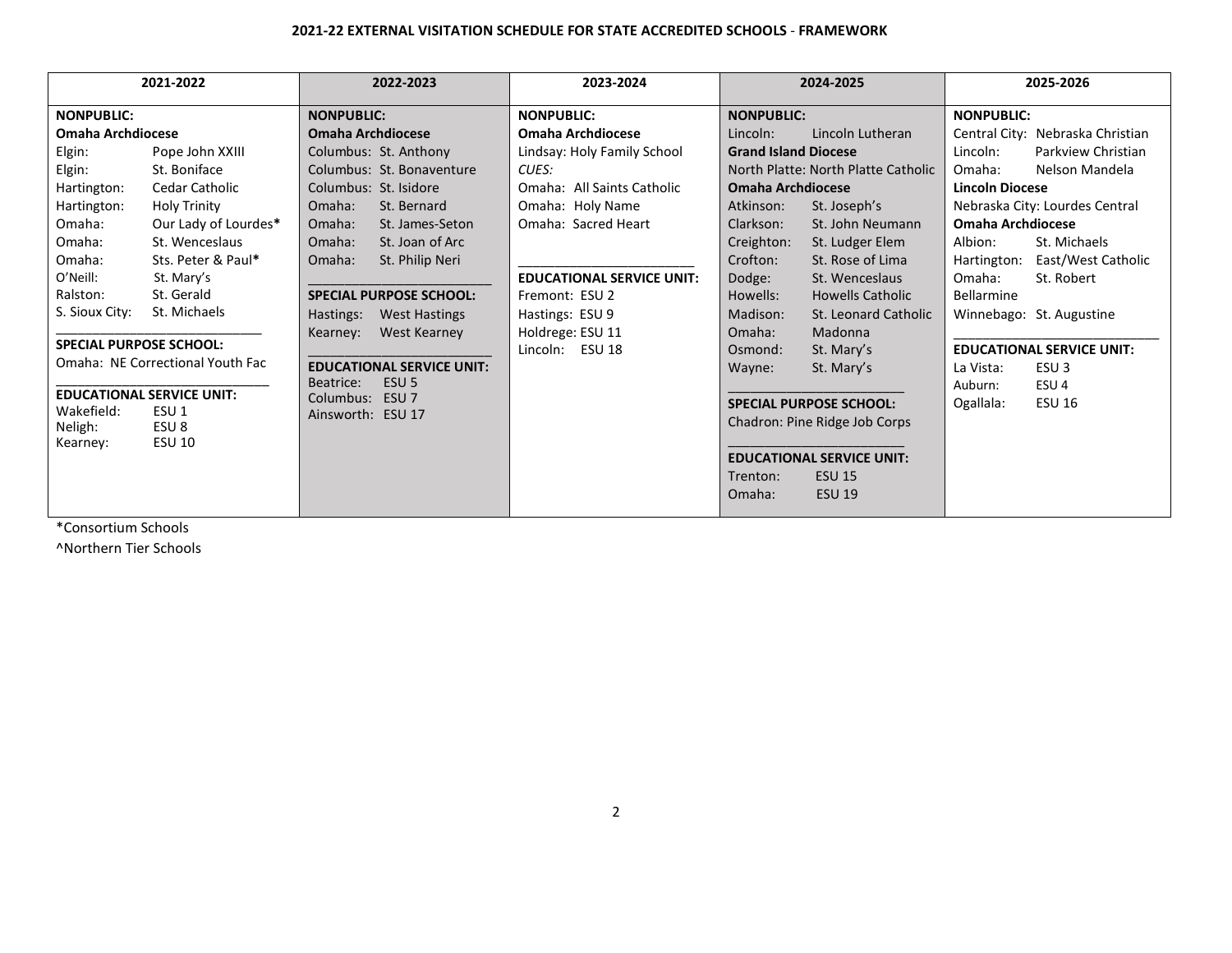## **2021-22 EXTERNAL VISITATION SCHEDULE FOR STATE ACCREDITED SCHOOLS** - **FRAMEWORK**

| 2021-2022                                                          |                                  | 2022-2023                         | 2023-2024                        | 2024-2025                           |                         | 2025-2026                |                                  |
|--------------------------------------------------------------------|----------------------------------|-----------------------------------|----------------------------------|-------------------------------------|-------------------------|--------------------------|----------------------------------|
| <b>NONPUBLIC:</b>                                                  |                                  | <b>NONPUBLIC:</b>                 | <b>NONPUBLIC:</b>                | <b>NONPUBLIC:</b>                   |                         | <b>NONPUBLIC:</b>        |                                  |
| Omaha Archdiocese                                                  |                                  | <b>Omaha Archdiocese</b>          | Omaha Archdiocese                | Lincoln:                            | Lincoln Lutheran        |                          | Central City: Nebraska Christian |
| Elgin:                                                             | Pope John XXIII                  | Columbus: St. Anthony             | Lindsay: Holy Family School      | <b>Grand Island Diocese</b>         |                         | Lincoln:                 | Parkview Christian               |
| Elgin:                                                             | St. Boniface                     | Columbus: St. Bonaventure         | CUES:                            | North Platte: North Platte Catholic |                         | Omaha:                   | Nelson Mandela                   |
| Hartington:                                                        | Cedar Catholic                   | Columbus: St. Isidore             | Omaha: All Saints Catholic       | <b>Omaha Archdiocese</b>            |                         | <b>Lincoln Diocese</b>   |                                  |
| Hartington:                                                        | <b>Holy Trinity</b>              | Omaha:<br>St. Bernard             | Omaha: Holy Name                 | Atkinson:                           | St. Joseph's            |                          | Nebraska City: Lourdes Central   |
| Omaha:                                                             | Our Lady of Lourdes*             | Omaha:<br>St. James-Seton         | Omaha: Sacred Heart              | Clarkson:                           | St. John Neumann        | <b>Omaha Archdiocese</b> |                                  |
| Omaha:                                                             | St. Wenceslaus                   | St. Joan of Arc<br>Omaha:         |                                  | Creighton:                          | St. Ludger Elem         | Albion:                  | St. Michaels                     |
| Omaha:                                                             | Sts. Peter & Paul*               | St. Philip Neri<br>Omaha:         |                                  | Crofton:                            | St. Rose of Lima        | Hartington:              | East/West Catholic               |
| O'Neill:                                                           | St. Mary's                       |                                   | <b>EDUCATIONAL SERVICE UNIT:</b> | Dodge:                              | St. Wenceslaus          | Omaha:                   | St. Robert                       |
| Ralston:                                                           | St. Gerald                       | <b>SPECIAL PURPOSE SCHOOL:</b>    | Fremont: ESU 2                   | Howells:                            | <b>Howells Catholic</b> | <b>Bellarmine</b>        |                                  |
| S. Sioux City:                                                     | St. Michaels                     | Hastings:<br><b>West Hastings</b> | Hastings: ESU 9                  | Madison:                            | St. Leonard Catholic    |                          | Winnebago: St. Augustine         |
|                                                                    |                                  | West Kearney<br>Kearney:          | Holdrege: ESU 11                 | Omaha:                              | Madonna                 |                          |                                  |
| <b>SPECIAL PURPOSE SCHOOL:</b>                                     |                                  |                                   | Lincoln: ESU 18                  | Osmond:                             | St. Mary's              |                          | <b>EDUCATIONAL SERVICE UNIT:</b> |
|                                                                    | Omaha: NE Correctional Youth Fac | <b>EDUCATIONAL SERVICE UNIT:</b>  |                                  | Wayne:                              | St. Mary's              | La Vista:                | ESU <sub>3</sub>                 |
|                                                                    |                                  | ESU <sub>5</sub><br>Beatrice:     |                                  |                                     |                         | Auburn:                  | ESU <sub>4</sub>                 |
| <b>EDUCATIONAL SERVICE UNIT:</b><br>Wakefield:<br>ESU <sub>1</sub> |                                  | Columbus: ESU 7                   |                                  | <b>SPECIAL PURPOSE SCHOOL:</b>      |                         | Ogallala:                | <b>ESU 16</b>                    |
| Neligh:                                                            | ESU 8                            | Ainsworth: ESU 17                 |                                  | Chadron: Pine Ridge Job Corps       |                         |                          |                                  |
| Kearney:                                                           | <b>ESU 10</b>                    |                                   |                                  |                                     |                         |                          |                                  |
|                                                                    |                                  |                                   |                                  | <b>EDUCATIONAL SERVICE UNIT:</b>    |                         |                          |                                  |
|                                                                    |                                  |                                   |                                  | <b>ESU 15</b><br>Trenton:           |                         |                          |                                  |
|                                                                    |                                  |                                   |                                  | Omaha:                              | <b>ESU 19</b>           |                          |                                  |
|                                                                    |                                  |                                   |                                  |                                     |                         |                          |                                  |

\*Consortium Schools

^Northern Tier Schools